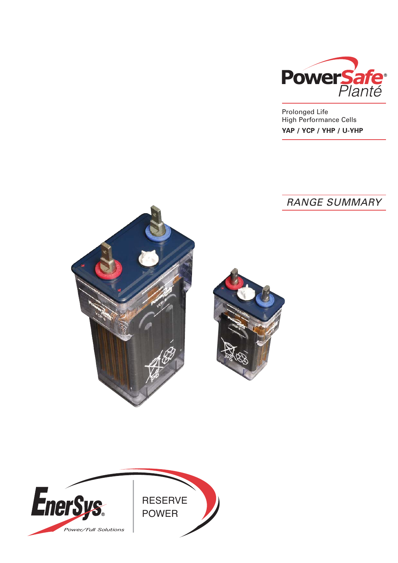

Prolonged Life High Performance Cells **YAP / YCP / YHP / U-YHP**

# RANGE SUMMARY





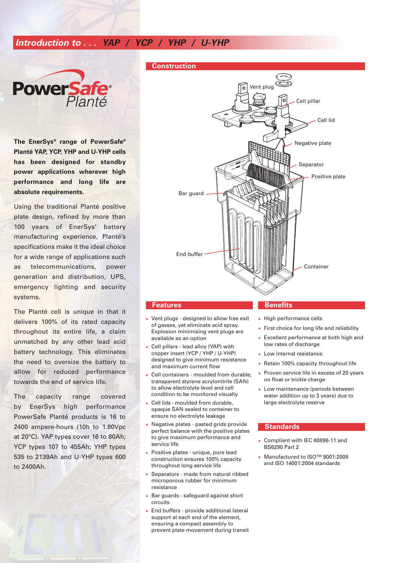# **Introduction to . . . YAP / YCP / YHP / U-YHP**



**The EnerSys® range of PowerSafe® Planté YAP, YCP, YHP and U-YHP cells has been designed for standby power applications wherever high performance and long life are absolute requirements.** 

Using the traditional Planté positive plate design, refined by more than 100 years of EnerSys' battery manufacturing experience, Planté's specifications make it the ideal choice for a wide range of applications such as telecommunications, power generation and distribution, UPS, emergency lighting and security systems.

The Planté cell is unique in that it delivers 100% of its rated capacity throughout its entire life, a claim unmatched by any other lead acid battery technology. This eliminates the need to oversize the battery to allow for reduced performance towards the end of service life.

The capacity range covered by EnerSys high performance PowerSafe Planté products is 16 to 2400 ampere-hours (10h to 1.80Vpc at 20°C). YAP types cover 16 to 80Ah; YCP types 107 to 455Ah; YHP types 535 to 2139Ah and U-YHP types 600 to 2400Ah.

#### **Construction**



- Vent plugs designed to allow free exit of gasses, yet eliminate acid spray. Explosion minimising vent plugs are available as an option
- Cell pillars lead alloy (YAP) with copper insert (YCP / YHP / U-YHP) designed to give minimum resistance and maximum current flow
- Cell containers moulded from durable, transparent styrene acrylonitrile (SAN) to allow electrolyte level and cell condition to be monitored visually
- Cell lids moulded from durable, opaque SAN sealed to container to ensure no electrolyte leakage
- Negative plates pasted grids provide perfect balance with the positive plates to give maximum performance and service life
- Positive plates unique, pure lead construction ensures 100% capacity throughout long service life
- Separators made from natural ribbed microporous rubber for minimum resistance
- Bar guards safeguard against short circuits
- End buffers provide additional lateral support at each end of the element, ensuring a compact assembly to prevent plate movement during transit

#### **Features Benefits**

- High performance cells
- First choice for long life and reliability
- Excellent performance at both high and low rates of discharge
- Low internal resistance
- Retain 100% capacity throughout life
- Proven service life in excess of 20 years on float or trickle charge
- Low maintenance (periods between water addition up to 3 years) due to large electrolyte reserve

#### **Standards**

- Compliant with IEC 60896-11 and BS6290 Part 2
- Manufactured to ISO™ 9001:2008 and ISO 14001:2004 standards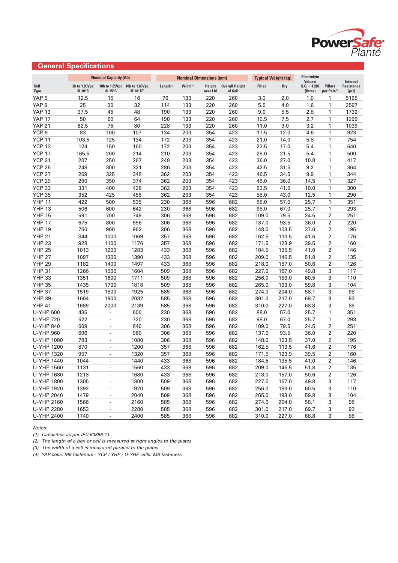

#### YAP 5 12.5 15 16 76 133 220 260 3.0 2.0 1.0 1 5195 YAP 9 25 30 32 114 133 220 260 5.5 4.0 1.6 1 2597 YAP 13 37.5 45 48 190 133 220 260 9.0 5.5 2.8 1 1732 YAP 17 50 60 64 190 133 220 260 10.5 7.5 2.7 1 1299 YAP 21 62.5 75 80 228 133 220 260 11.0 9.0 3.2 1 1039 YCP 9 83 100 107 134 203 354 423 17.5 12.0 4.6 1 923 YCP 11 103.5 125 134 172 203 354 423 21.0 14.0 5.8 1 754 YCP 13 124 150 160 172 203 354 423 23.5 17.0 5.4 1 640 YCP 17 165.5 200 214 210 203 354 423 28.0 21.5 5.4 1 500 YCP 21 207 250 267 248 203 354 423 36.0 27.0 10.8 1 417 YCP 25 248 300 321 286 203 354 423 42.5 31.5 9.2 1 364 YCP 27 269 325 348 362 203 354 423 46.5 34.5 9.9 1 344 YCP 29 290 350 374 362 203 354 423 48.0 36.0 14.5 1 327 YCP 33 331 400 428 362 203 354 423 53.5 41.5 10.0 1 300 YCP 35 352 425 455 362 203 354 423 58.0 43.0 12.5 1 290 YHP 11 422 500 535 230 368 596 682 88.0 57.0 25.7 1 351 YHP 13 506 600 642 230 368 596 682 98.0 67.0 25.7 1 293 YHP 15 591 700 749 306 368 596 682 109.0 79.5 24.5 2 251 YHP 17 675 800 856 306 368 596 682 137.0 93.5 36.0 2 220 YHP 19 760 900 962 306 368 596 682 148.0 103.5 37.0 2 195 YHP 21 844 1000 1069 357 368 596 682 162.5 113.5 41.6 2 176 YHP 23 928 1100 1176 357 368 596 682 171.5 123.9 39.5 2 160 YHP 25 1013 1200 1283 433 368 596 682 184.5 135.5 41.0 2 146 YHP 27 1097 1300 1390 433 368 596 682 209.0 146.5 51.8 2 135 YHP 29 1182 1400 1497 433 368 596 682 218.0 157.0 50.6 2 126 YHP 31 1266 1500 1604 509 368 596 682 227.0 167.0 49.8 3 117 YHP 33 1351 1600 1711 509 368 596 682 256.0 183.0 60.5 3 110 YHP 35 1435 1700 1818 509 368 596 682 265.0 193.0 59.8 3 104 YHP 37 1519 1800 1925 585 368 596 682 274.0 204.0 58.1 3 98 YHP 39 1604 1900 2032 585 368 596 682 301.0 217.0 69.7 3 93 YHP 41 1689 2000 2139 585 368 596 682 310.0 227.0 68.8 3 88 U-YHP 600 435 - 600 230 368 596 682 88.0 57.0 25.7 1 351 U-YHP 720 522 - 720 230 368 596 682 98.0 67.0 25.7 1 293 U-YHP 840 609 - 840 306 368 596 682 109.0 79.5 24.5 2 251 U-YHP 960 696 - 960 306 368 596 682 137.0 93.5 36.0 2 220 U-YHP 1080 783 - 1080 306 368 596 682 148.0 103.5 37.0 2 195 U-YHP 1200 870 - 1200 357 368 596 682 162.5 113.5 41.6 2 176 U-YHP 1320 957 - 1320 357 368 596 682 171.5 123.9 39.5 2 160 U-YHP 1440 1044 - 1440 433 368 596 682 184.5 135.5 41.0 2 146 U-YHP 1560 1131 - 1560 433 368 596 682 209.0 146.5 51.8 2 135 U-YHP 1680 1218 - 1680 433 368 596 682 218.0 157.0 50.6 2 126 U-YHP 1800 1305 - 1800 509 368 596 682 227.0 167.0 49.8 3 117 U-YHP 1920 1392 - 1920 509 368 596 682 256.0 183.0 60.5 3 110 U-YHP 2040 1479 - 2040 509 368 596 682 265.0 193.0 59.8 3 104 U-YHP 2160 1566 - 2160 585 368 596 682 274.0 204.0 58.1 3 98 U-YHP 2280 1653 - 2280 585 368 596 682 301.0 217.0 69.7 3 93 U-YHP 2400 1740 - 2400 585 368 596 682 310.0 227.0 68.8 3 88 **Electrolyte** Volume Internal<br>S.G. = 1.207 Pillars Resistance **Cell 3h to 1.80Vpc 10h to 1.85Vpc 10h to 1.80Vpc Length(2) Width(3) Height Overall Height Filled Dry S.G. = 1.207 Pillars Resistance Type @ 20°C @ 15°C @ 20°C(1) over Lid of Cell (litres) per Pole(4) (µ**Ω**) Nominal Capacity (Ah) Nominal Dimensions (mm) Typical Weight (kg)**

Notes:

(1) Capacities as per IEC 60896-11

**General Specifications**

(2) The length of a box or cell is measured at right angles to the plates

(3) The width of a cell is measured parallel to the plates

(4) YAP cells: M6 fasteners - YCP / YHP / U-YHP cells: M8 fasteners